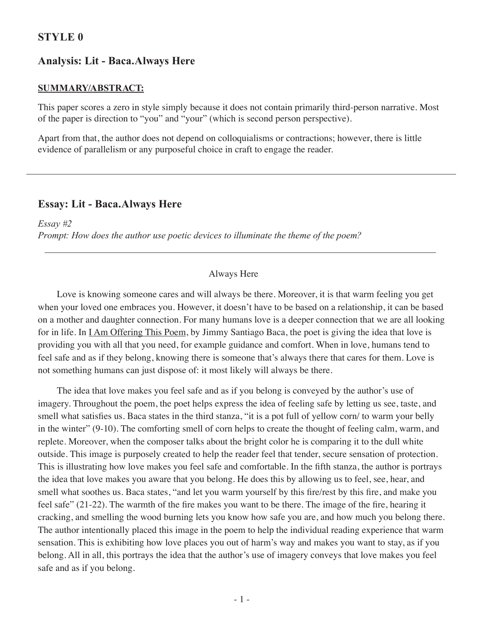# **Style 0**

## **Analysis: Lit - Baca.Always Here**

#### **Summary/Abstract:**

This paper scores a zero in style simply because it does not contain primarily third-person narrative. Most of the paper is direction to "you" and "your" (which is second person perspective).

Apart from that, the author does not depend on colloquialisms or contractions; however, there is little evidence of parallelism or any purposeful choice in craft to engage the reader.

### **Essay: Lit - Baca.Always Here**

*Essay #2 Prompt: How does the author use poetic devices to illuminate the theme of the poem?*

### Always Here

Love is knowing someone cares and will always be there. Moreover, it is that warm feeling you get when your loved one embraces you. However, it doesn't have to be based on a relationship, it can be based on a mother and daughter connection. For many humans love is a deeper connection that we are all looking for in life. In <u>I Am Offering This Poem</u>, by Jimmy Santiago Baca, the poet is giving the idea that love is providing you with all that you need, for example guidance and comfort. When in love, humans tend to feel safe and as if they belong, knowing there is someone that's always there that cares for them. Love is not something humans can just dispose of: it most likely will always be there.

The idea that love makes you feel safe and as if you belong is conveyed by the author's use of imagery. Throughout the poem, the poet helps express the idea of feeling safe by letting us see, taste, and smell what satisfies us. Baca states in the third stanza, "it is a pot full of yellow corn/ to warm your belly in the winter" (9-10). The comforting smell of corn helps to create the thought of feeling calm, warm, and replete. Moreover, when the composer talks about the bright color he is comparing it to the dull white outside. This image is purposely created to help the reader feel that tender, secure sensation of protection. This is illustrating how love makes you feel safe and comfortable. In the fifth stanza, the author is portrays the idea that love makes you aware that you belong. He does this by allowing us to feel, see, hear, and smell what soothes us. Baca states, "and let you warm yourself by this fire/rest by this fire, and make you feel safe" (21-22). The warmth of the fire makes you want to be there. The image of the fire, hearing it cracking, and smelling the wood burning lets you know how safe you are, and how much you belong there. The author intentionally placed this image in the poem to help the individual reading experience that warm sensation. This is exhibiting how love places you out of harm's way and makes you want to stay, as if you belong. All in all, this portrays the idea that the author's use of imagery conveys that love makes you feel safe and as if you belong.